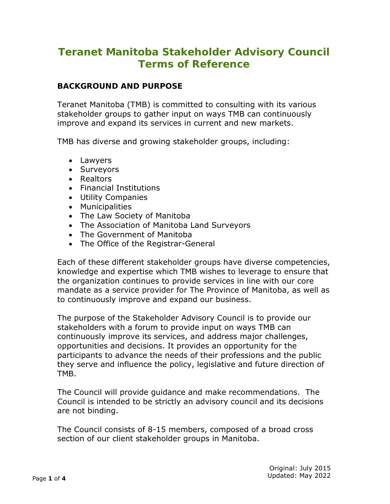# **Teranet Manitoba Stakeholder Advisory Council Terms of Reference**

## **BACKGROUND AND PURPOSE**

Teranet Manitoba (TMB) is committed to consulting with its various stakeholder groups to gather input on ways TMB can continuously improve and expand its services in current and new markets.

TMB has diverse and growing stakeholder groups, including:

- Lawyers
- Surveyors
- Realtors
- Financial Institutions
- Utility Companies
- Municipalities
- The Law Society of Manitoba
- The Association of Manitoba Land Surveyors
- The Government of Manitoba
- The Office of the Registrar-General

Each of these different stakeholder groups have diverse competencies, knowledge and expertise which TMB wishes to leverage to ensure that the organization continues to provide services in line with our core mandate as a service provider for The Province of Manitoba, as well as to continuously improve and expand our business.

The purpose of the Stakeholder Advisory Council is to provide our stakeholders with a forum to provide input on ways TMB can continuously improve its services, and address major challenges, opportunities and decisions. It provides an opportunity for the participants to advance the needs of their professions and the public they serve and influence the policy, legislative and future direction of TMB.

The Council will provide guidance and make recommendations. The Council is intended to be strictly an advisory council and its decisions are not binding.

The Council consists of 8-15 members, composed of a broad cross section of our client stakeholder groups in Manitoba.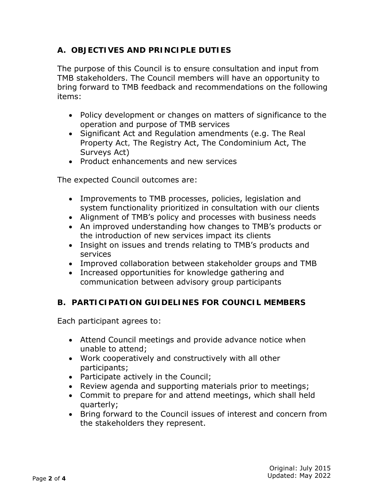# **A. OBJECTIVES AND PRINCIPLE DUTIES**

The purpose of this Council is to ensure consultation and input from TMB stakeholders. The Council members will have an opportunity to bring forward to TMB feedback and recommendations on the following items:

- Policy development or changes on matters of significance to the operation and purpose of TMB services
- Significant Act and Regulation amendments (e.g. *The Real Property Act,* The Registry Act, The Condominium Act, The Surveys Act)
- Product enhancements and new services

The expected Council outcomes are:

- Improvements to TMB processes, policies, legislation and system functionality prioritized in consultation with our clients
- Alignment of TMB's policy and processes with business needs
- An improved understanding how changes to TMB's products or the introduction of new services impact its clients
- Insight on issues and trends relating to TMB's products and services
- Improved collaboration between stakeholder groups and TMB
- Increased opportunities for knowledge gathering and communication between advisory group participants

# **B. PARTICIPATION GUIDELINES FOR COUNCIL MEMBERS**

Each participant agrees to:

- Attend Council meetings and provide advance notice when unable to attend;
- Work cooperatively and constructively with all other participants;
- Participate actively in the Council;
- Review agenda and supporting materials prior to meetings;
- Commit to prepare for and attend meetings, which shall held quarterly;
- Bring forward to the Council issues of interest and concern from the stakeholders they represent.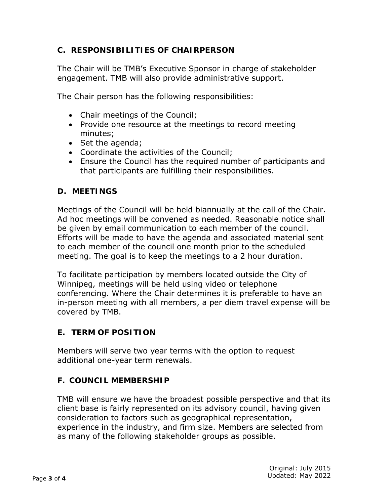## **C. RESPONSIBILITIES OF CHAIRPERSON**

The Chair will be TMB's Executive Sponsor in charge of stakeholder engagement. TMB will also provide administrative support.

The Chair person has the following responsibilities:

- Chair meetings of the Council;
- Provide one resource at the meetings to record meeting minutes;
- Set the agenda;
- Coordinate the activities of the Council;
- Ensure the Council has the required number of participants and that participants are fulfilling their responsibilities.

### **D. MEETINGS**

Meetings of the Council will be held biannually at the call of the Chair. Ad hoc meetings will be convened as needed. Reasonable notice shall be given by email communication to each member of the council. Efforts will be made to have the agenda and associated material sent to each member of the council one month prior to the scheduled meeting. The goal is to keep the meetings to a 2 hour duration.

To facilitate participation by members located outside the City of Winnipeg, meetings will be held using video or telephone conferencing. Where the Chair determines it is preferable to have an in-person meeting with all members, a per diem travel expense will be covered by TMB.

### **E. TERM OF POSITION**

Members will serve two year terms with the option to request additional one-year term renewals.

### **F. COUNCIL MEMBERSHIP**

TMB will ensure we have the broadest possible perspective and that its client base is fairly represented on its advisory council, having given consideration to factors such as geographical representation, experience in the industry, and firm size. Members are selected from as many of the following stakeholder groups as possible.